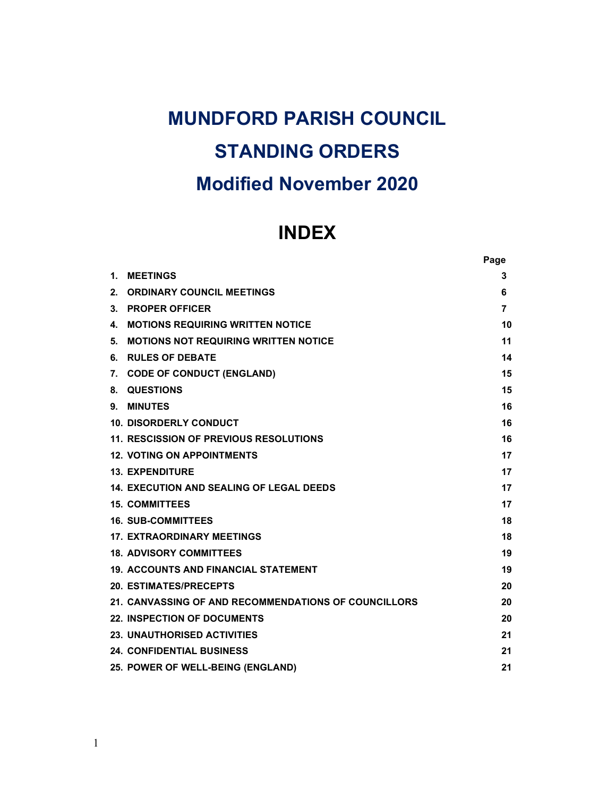# MUNDFORD PARISH COUNCIL STANDING ORDERS Modified November 2020

# INDEX

|    |                                                      | Page |
|----|------------------------------------------------------|------|
| 1. | <b>MEETINGS</b>                                      | 3    |
| 2. | <b>ORDINARY COUNCIL MEETINGS</b>                     | 6    |
| 3. | <b>PROPER OFFICER</b>                                | 7    |
| 4. | <b>MOTIONS REQUIRING WRITTEN NOTICE</b>              | 10   |
| 5. | <b>MOTIONS NOT REQUIRING WRITTEN NOTICE</b>          | 11   |
| 6. | <b>RULES OF DEBATE</b>                               | 14   |
| 7. | <b>CODE OF CONDUCT (ENGLAND)</b>                     | 15   |
| 8. | <b>QUESTIONS</b>                                     | 15   |
| 9. | <b>MINUTES</b>                                       | 16   |
|    | <b>10. DISORDERLY CONDUCT</b>                        | 16   |
|    | <b>11. RESCISSION OF PREVIOUS RESOLUTIONS</b>        | 16   |
|    | <b>12. VOTING ON APPOINTMENTS</b>                    | 17   |
|    | <b>13. EXPENDITURE</b>                               | 17   |
|    | <b>14. EXECUTION AND SEALING OF LEGAL DEEDS</b>      | 17   |
|    | <b>15. COMMITTEES</b>                                | 17   |
|    | <b>16. SUB-COMMITTEES</b>                            | 18   |
|    | <b>17. EXTRAORDINARY MEETINGS</b>                    | 18   |
|    | <b>18. ADVISORY COMMITTEES</b>                       | 19   |
|    | 19. ACCOUNTS AND FINANCIAL STATEMENT                 | 19   |
|    | <b>20. ESTIMATES/PRECEPTS</b>                        | 20   |
|    | 21. CANVASSING OF AND RECOMMENDATIONS OF COUNCILLORS | 20   |
|    | <b>22. INSPECTION OF DOCUMENTS</b>                   | 20   |
|    | <b>23. UNAUTHORISED ACTIVITIES</b>                   | 21   |
|    | <b>24. CONFIDENTIAL BUSINESS</b>                     | 21   |
|    | 25. POWER OF WELL-BEING (ENGLAND)                    | 21   |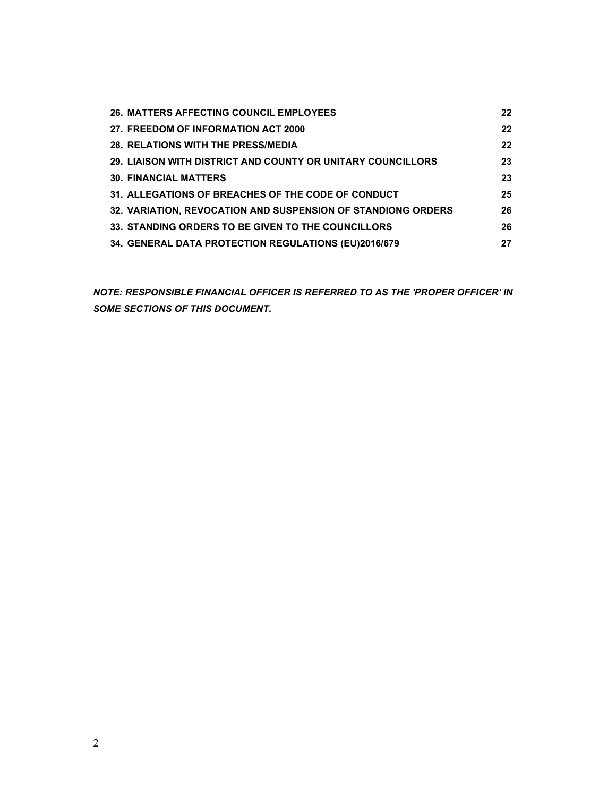| 26. MATTERS AFFECTING COUNCIL EMPLOYEES                      | 22 |
|--------------------------------------------------------------|----|
| 27. FREEDOM OF INFORMATION ACT 2000                          | 22 |
| <b>28. RELATIONS WITH THE PRESS/MEDIA</b>                    | 22 |
| 29. LIAISON WITH DISTRICT AND COUNTY OR UNITARY COUNCILLORS  | 23 |
| <b>30. FINANCIAL MATTERS</b>                                 | 23 |
| 31. ALLEGATIONS OF BREACHES OF THE CODE OF CONDUCT           | 25 |
| 32. VARIATION, REVOCATION AND SUSPENSION OF STANDIONG ORDERS | 26 |
| 33. STANDING ORDERS TO BE GIVEN TO THE COUNCILLORS           | 26 |
| 34. GENERAL DATA PROTECTION REGULATIONS (EU)2016/679         | 27 |

NOTE: RESPONSIBLE FINANCIAL OFFICER IS REFERRED TO AS THE 'PROPER OFFICER' IN SOME SECTIONS OF THIS DOCUMENT.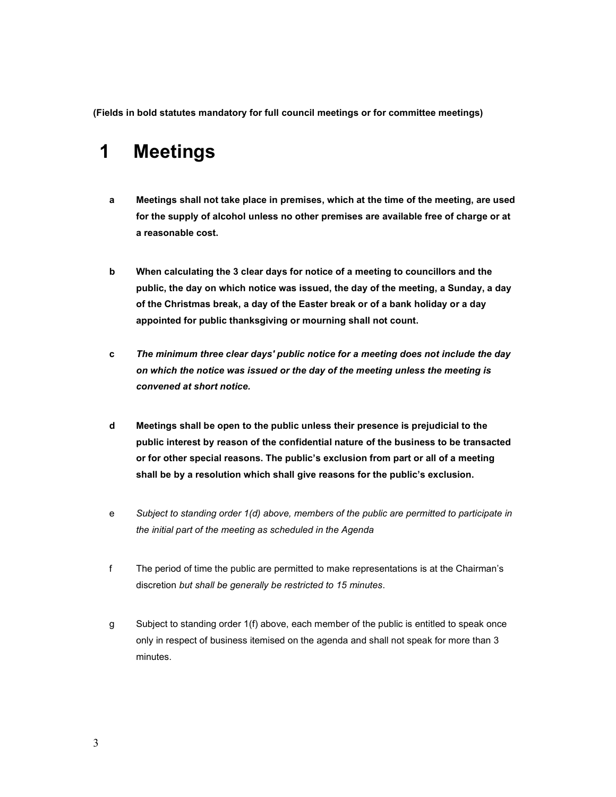(Fields in bold statutes mandatory for full council meetings or for committee meetings)

## 1 Meetings

- a Meetings shall not take place in premises, which at the time of the meeting, are used for the supply of alcohol unless no other premises are available free of charge or at a reasonable cost.
- b When calculating the 3 clear days for notice of a meeting to councillors and the public, the day on which notice was issued, the day of the meeting, a Sunday, a day of the Christmas break, a day of the Easter break or of a bank holiday or a day appointed for public thanksgiving or mourning shall not count.
- c The minimum three clear days' public notice for a meeting does not include the day on which the notice was issued or the day of the meeting unless the meeting is convened at short notice.
- d Meetings shall be open to the public unless their presence is prejudicial to the public interest by reason of the confidential nature of the business to be transacted or for other special reasons. The public's exclusion from part or all of a meeting shall be by a resolution which shall give reasons for the public's exclusion.
- e Subject to standing order 1(d) above, members of the public are permitted to participate in the initial part of the meeting as scheduled in the Agenda
- f The period of time the public are permitted to make representations is at the Chairman's discretion but shall be generally be restricted to 15 minutes.
- g Subject to standing order 1(f) above, each member of the public is entitled to speak once only in respect of business itemised on the agenda and shall not speak for more than 3 minutes.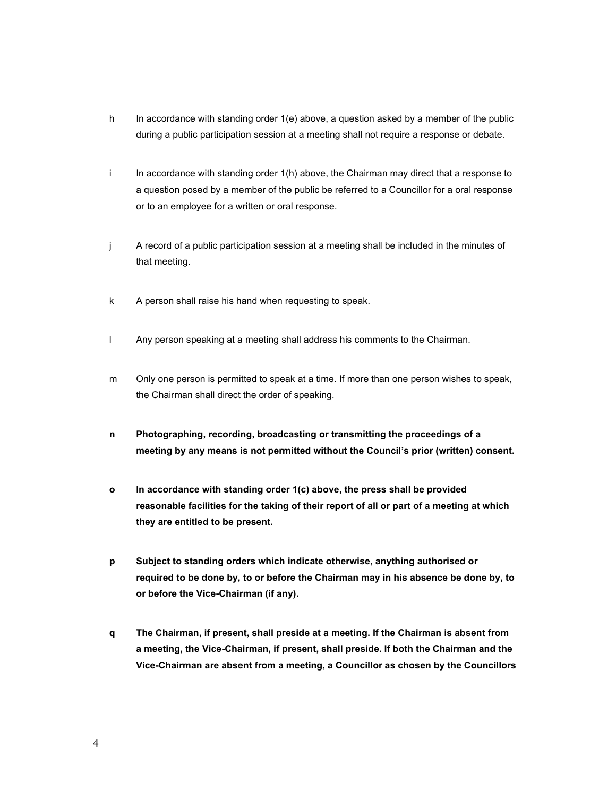- h In accordance with standing order 1(e) above, a question asked by a member of the public during a public participation session at a meeting shall not require a response or debate.
- i In accordance with standing order 1(h) above, the Chairman may direct that a response to a question posed by a member of the public be referred to a Councillor for a oral response or to an employee for a written or oral response.
- j A record of a public participation session at a meeting shall be included in the minutes of that meeting.
- k A person shall raise his hand when requesting to speak.
- l Any person speaking at a meeting shall address his comments to the Chairman.
- m Only one person is permitted to speak at a time. If more than one person wishes to speak, the Chairman shall direct the order of speaking.
- n Photographing, recording, broadcasting or transmitting the proceedings of a meeting by any means is not permitted without the Council's prior (written) consent.
- o In accordance with standing order 1(c) above, the press shall be provided reasonable facilities for the taking of their report of all or part of a meeting at which they are entitled to be present.
- p Subject to standing orders which indicate otherwise, anything authorised or required to be done by, to or before the Chairman may in his absence be done by, to or before the Vice-Chairman (if any).
- q The Chairman, if present, shall preside at a meeting. If the Chairman is absent from a meeting, the Vice-Chairman, if present, shall preside. If both the Chairman and the Vice-Chairman are absent from a meeting, a Councillor as chosen by the Councillors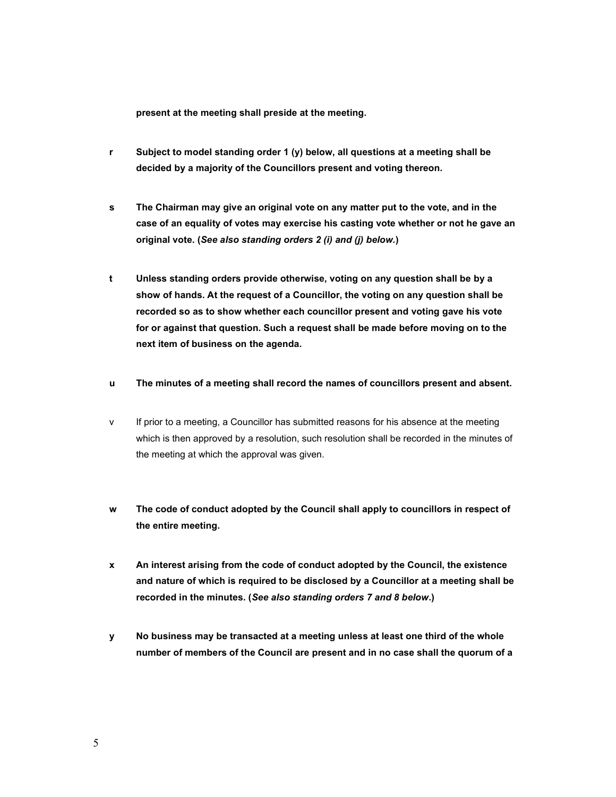present at the meeting shall preside at the meeting.

- r Subject to model standing order 1 (y) below, all questions at a meeting shall be decided by a majority of the Councillors present and voting thereon.
- s The Chairman may give an original vote on any matter put to the vote, and in the case of an equality of votes may exercise his casting vote whether or not he gave an original vote. (See also standing orders 2 (i) and (j) below.)
- t Unless standing orders provide otherwise, voting on any question shall be by a show of hands. At the request of a Councillor, the voting on any question shall be recorded so as to show whether each councillor present and voting gave his vote for or against that question. Such a request shall be made before moving on to the next item of business on the agenda.
- u The minutes of a meeting shall record the names of councillors present and absent.
- v If prior to a meeting, a Councillor has submitted reasons for his absence at the meeting which is then approved by a resolution, such resolution shall be recorded in the minutes of the meeting at which the approval was given.
- w The code of conduct adopted by the Council shall apply to councillors in respect of the entire meeting.
- x An interest arising from the code of conduct adopted by the Council, the existence and nature of which is required to be disclosed by a Councillor at a meeting shall be recorded in the minutes. (See also standing orders 7 and 8 below.)
- y No business may be transacted at a meeting unless at least one third of the whole number of members of the Council are present and in no case shall the quorum of a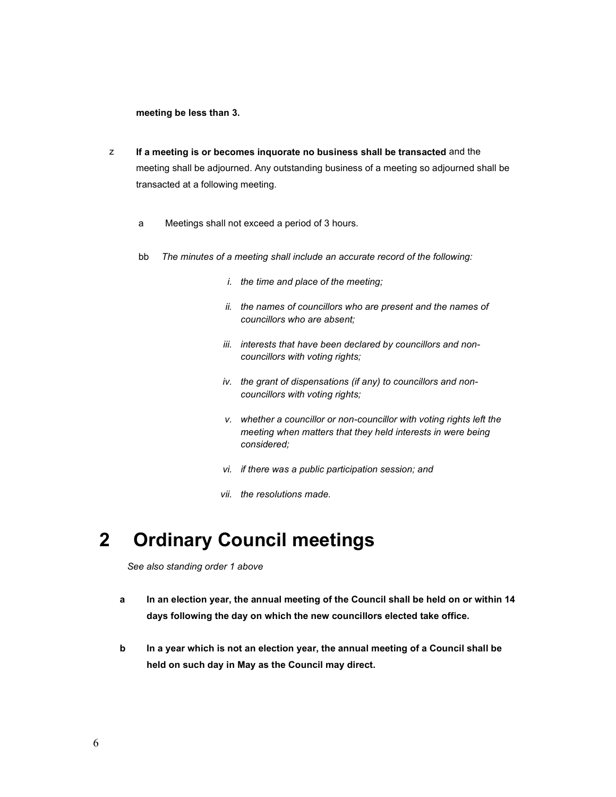meeting be less than 3.

- z If a meeting is or becomes inquorate no business shall be transacted and the meeting shall be adjourned. Any outstanding business of a meeting so adjourned shall be transacted at a following meeting.
	- a Meetings shall not exceed a period of 3 hours.
	- bb The minutes of a meeting shall include an accurate record of the following:
		- i. the time and place of the meeting;
		- ii. the names of councillors who are present and the names of councillors who are absent;
		- iii. interests that have been declared by councillors and noncouncillors with voting rights;
		- iv. the grant of dispensations (if any) to councillors and noncouncillors with voting rights;
		- v. whether a councillor or non-councillor with voting rights left the meeting when matters that they held interests in were being considered;
		- vi. if there was a public participation session; and
		- vii. the resolutions made.

## 2 Ordinary Council meetings

See also standing order 1 above

- a In an election year, the annual meeting of the Council shall be held on or within 14 days following the day on which the new councillors elected take office.
- b In a year which is not an election year, the annual meeting of a Council shall be held on such day in May as the Council may direct.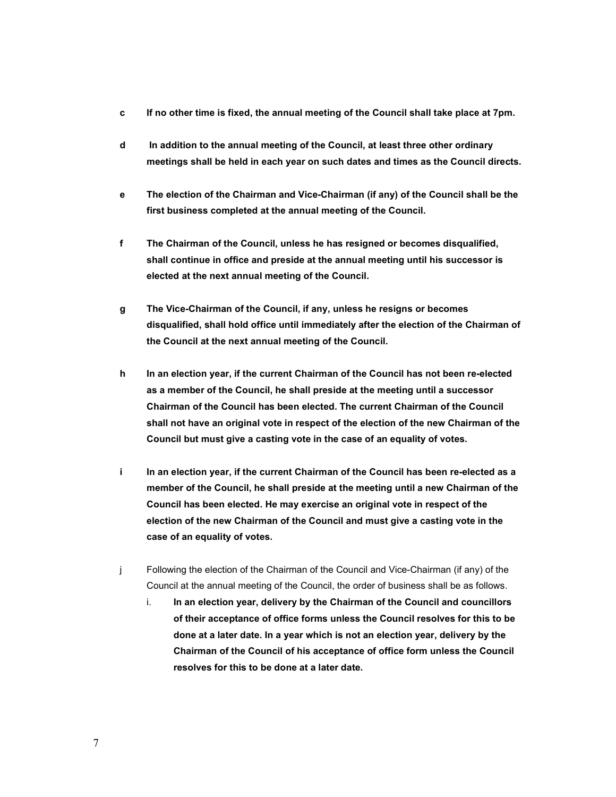- c If no other time is fixed, the annual meeting of the Council shall take place at 7pm.
- d In addition to the annual meeting of the Council, at least three other ordinary meetings shall be held in each year on such dates and times as the Council directs.
- e The election of the Chairman and Vice-Chairman (if any) of the Council shall be the first business completed at the annual meeting of the Council.
- f The Chairman of the Council, unless he has resigned or becomes disqualified, shall continue in office and preside at the annual meeting until his successor is elected at the next annual meeting of the Council.
- g The Vice-Chairman of the Council, if any, unless he resigns or becomes disqualified, shall hold office until immediately after the election of the Chairman of the Council at the next annual meeting of the Council.
- h In an election year, if the current Chairman of the Council has not been re-elected as a member of the Council, he shall preside at the meeting until a successor Chairman of the Council has been elected. The current Chairman of the Council shall not have an original vote in respect of the election of the new Chairman of the Council but must give a casting vote in the case of an equality of votes.
- i In an election year, if the current Chairman of the Council has been re-elected as a member of the Council, he shall preside at the meeting until a new Chairman of the Council has been elected. He may exercise an original vote in respect of the election of the new Chairman of the Council and must give a casting vote in the case of an equality of votes.
- j Following the election of the Chairman of the Council and Vice-Chairman (if any) of the Council at the annual meeting of the Council, the order of business shall be as follows.
	- i. In an election year, delivery by the Chairman of the Council and councillors of their acceptance of office forms unless the Council resolves for this to be done at a later date. In a year which is not an election year, delivery by the Chairman of the Council of his acceptance of office form unless the Council resolves for this to be done at a later date.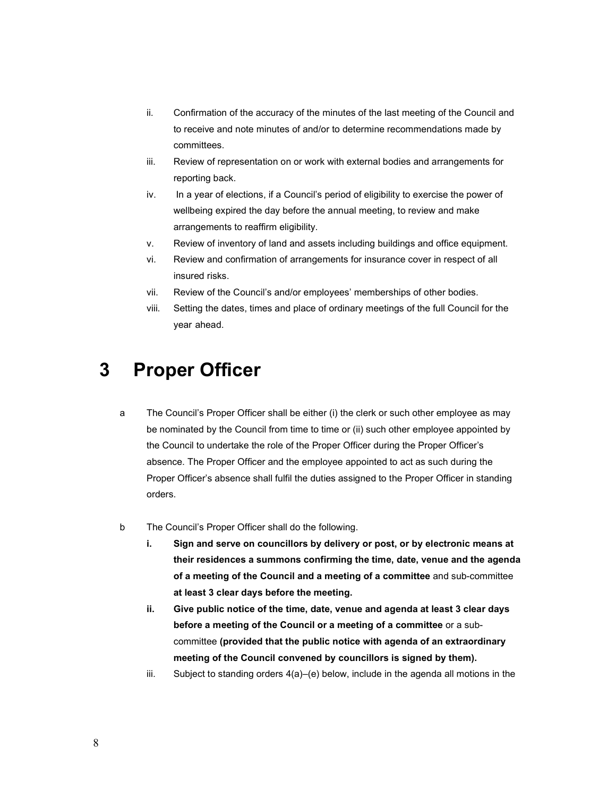- ii. Confirmation of the accuracy of the minutes of the last meeting of the Council and to receive and note minutes of and/or to determine recommendations made by committees.
- iii. Review of representation on or work with external bodies and arrangements for reporting back.
- iv. In a year of elections, if a Council's period of eligibility to exercise the power of wellbeing expired the day before the annual meeting, to review and make arrangements to reaffirm eligibility.
- v. Review of inventory of land and assets including buildings and office equipment.
- vi. Review and confirmation of arrangements for insurance cover in respect of all insured risks.
- vii. Review of the Council's and/or employees' memberships of other bodies.
- viii. Setting the dates, times and place of ordinary meetings of the full Council for the year ahead.

#### 3 Proper Officer

- a The Council's Proper Officer shall be either (i) the clerk or such other employee as may be nominated by the Council from time to time or (ii) such other employee appointed by the Council to undertake the role of the Proper Officer during the Proper Officer's absence. The Proper Officer and the employee appointed to act as such during the Proper Officer's absence shall fulfil the duties assigned to the Proper Officer in standing orders.
- b The Council's Proper Officer shall do the following.
	- i. Sign and serve on councillors by delivery or post, or by electronic means at their residences a summons confirming the time, date, venue and the agenda of a meeting of the Council and a meeting of a committee and sub-committee at least 3 clear days before the meeting.
	- ii. Give public notice of the time, date, venue and agenda at least 3 clear days before a meeting of the Council or a meeting of a committee or a subcommittee (provided that the public notice with agenda of an extraordinary meeting of the Council convened by councillors is signed by them).
	- iii. Subject to standing orders 4(a)–(e) below, include in the agenda all motions in the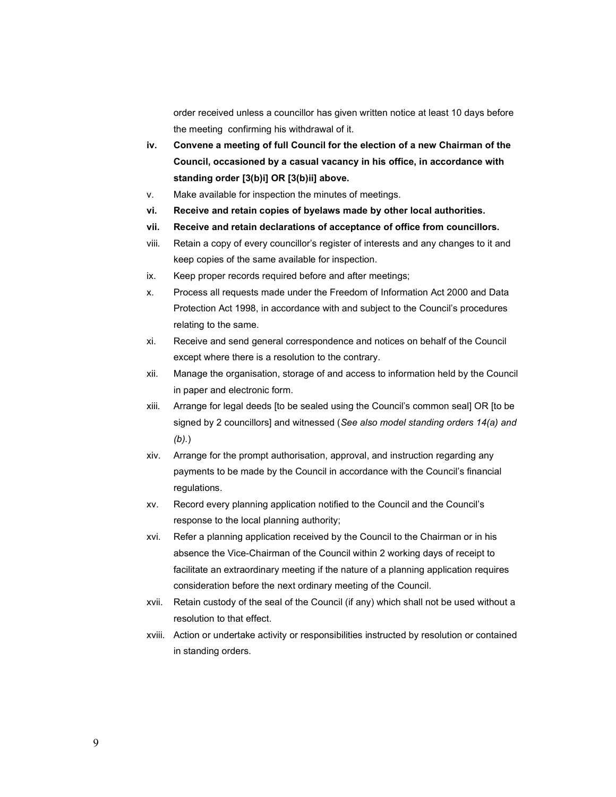order received unless a councillor has given written notice at least 10 days before the meeting confirming his withdrawal of it.

- iv. Convene a meeting of full Council for the election of a new Chairman of the Council, occasioned by a casual vacancy in his office, in accordance with standing order [3(b)i] OR [3(b)ii] above.
- v. Make available for inspection the minutes of meetings.
- vi. Receive and retain copies of byelaws made by other local authorities.
- vii. Receive and retain declarations of acceptance of office from councillors.
- viii. Retain a copy of every councillor's register of interests and any changes to it and keep copies of the same available for inspection.
- ix. Keep proper records required before and after meetings;
- x. Process all requests made under the Freedom of Information Act 2000 and Data Protection Act 1998, in accordance with and subject to the Council's procedures relating to the same.
- xi. Receive and send general correspondence and notices on behalf of the Council except where there is a resolution to the contrary.
- xii. Manage the organisation, storage of and access to information held by the Council in paper and electronic form.
- xiii. Arrange for legal deeds [to be sealed using the Council's common seal] OR [to be signed by 2 councillors] and witnessed (See also model standing orders 14(a) and (b).)
- xiv. Arrange for the prompt authorisation, approval, and instruction regarding any payments to be made by the Council in accordance with the Council's financial regulations.
- xv. Record every planning application notified to the Council and the Council's response to the local planning authority;
- xvi. Refer a planning application received by the Council to the Chairman or in his absence the Vice-Chairman of the Council within 2 working days of receipt to facilitate an extraordinary meeting if the nature of a planning application requires consideration before the next ordinary meeting of the Council.
- xvii. Retain custody of the seal of the Council (if any) which shall not be used without a resolution to that effect.
- xviii. Action or undertake activity or responsibilities instructed by resolution or contained in standing orders.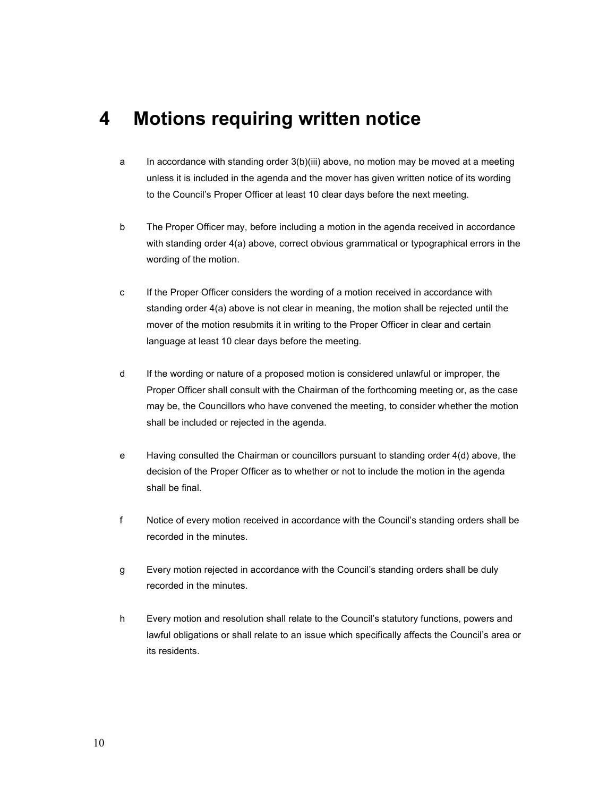#### 4 Motions requiring written notice

- a In accordance with standing order 3(b)(iii) above, no motion may be moved at a meeting unless it is included in the agenda and the mover has given written notice of its wording to the Council's Proper Officer at least 10 clear days before the next meeting.
- b The Proper Officer may, before including a motion in the agenda received in accordance with standing order 4(a) above, correct obvious grammatical or typographical errors in the wording of the motion.
- c If the Proper Officer considers the wording of a motion received in accordance with standing order 4(a) above is not clear in meaning, the motion shall be rejected until the mover of the motion resubmits it in writing to the Proper Officer in clear and certain language at least 10 clear days before the meeting.
- d If the wording or nature of a proposed motion is considered unlawful or improper, the Proper Officer shall consult with the Chairman of the forthcoming meeting or, as the case may be, the Councillors who have convened the meeting, to consider whether the motion shall be included or rejected in the agenda.
- e Having consulted the Chairman or councillors pursuant to standing order 4(d) above, the decision of the Proper Officer as to whether or not to include the motion in the agenda shall be final.
- f Notice of every motion received in accordance with the Council's standing orders shall be recorded in the minutes.
- g Every motion rejected in accordance with the Council's standing orders shall be duly recorded in the minutes.
- h Every motion and resolution shall relate to the Council's statutory functions, powers and lawful obligations or shall relate to an issue which specifically affects the Council's area or its residents.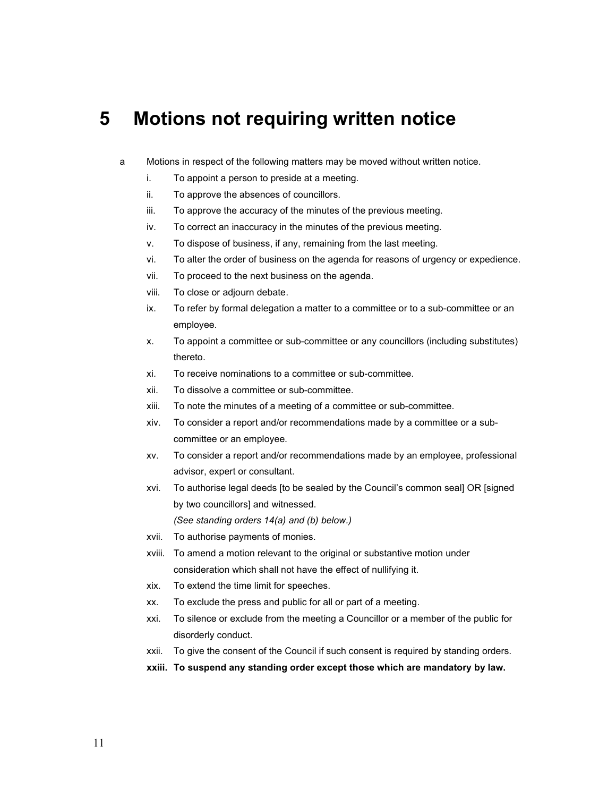#### 5 Motions not requiring written notice

- a Motions in respect of the following matters may be moved without written notice.
	- i. To appoint a person to preside at a meeting.
	- ii. To approve the absences of councillors.
	- iii. To approve the accuracy of the minutes of the previous meeting.
	- iv. To correct an inaccuracy in the minutes of the previous meeting.
	- v. To dispose of business, if any, remaining from the last meeting.
	- vi. To alter the order of business on the agenda for reasons of urgency or expedience.
	- vii. To proceed to the next business on the agenda.
	- viii. To close or adjourn debate.
	- ix. To refer by formal delegation a matter to a committee or to a sub-committee or an employee.
	- x. To appoint a committee or sub-committee or any councillors (including substitutes) thereto.
	- xi. To receive nominations to a committee or sub-committee.
	- xii. To dissolve a committee or sub-committee.
	- xiii. To note the minutes of a meeting of a committee or sub-committee.
	- xiv. To consider a report and/or recommendations made by a committee or a subcommittee or an employee.
	- xv. To consider a report and/or recommendations made by an employee, professional advisor, expert or consultant.
	- xvi. To authorise legal deeds [to be sealed by the Council's common seal] OR [signed by two councillors] and witnessed. (See standing orders 14(a) and (b) below.)
	- xvii. To authorise payments of monies.
	- xviii. To amend a motion relevant to the original or substantive motion under consideration which shall not have the effect of nullifying it.
	- xix. To extend the time limit for speeches.
	- xx. To exclude the press and public for all or part of a meeting.
	- xxi. To silence or exclude from the meeting a Councillor or a member of the public for disorderly conduct.
	- xxii. To give the consent of the Council if such consent is required by standing orders.
	- xxiii. To suspend any standing order except those which are mandatory by law.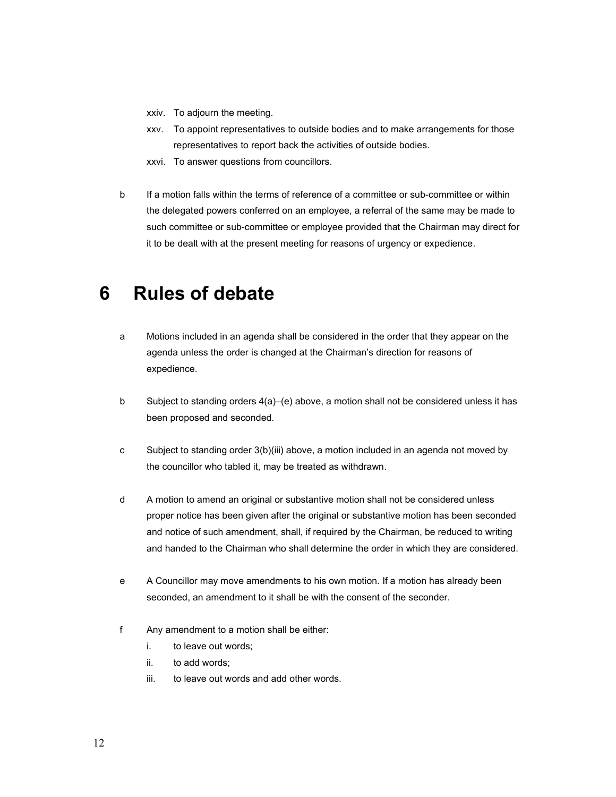- xxiv. To adjourn the meeting.
- xxv. To appoint representatives to outside bodies and to make arrangements for those representatives to report back the activities of outside bodies.
- xxvi. To answer questions from councillors.
- b If a motion falls within the terms of reference of a committee or sub-committee or within the delegated powers conferred on an employee, a referral of the same may be made to such committee or sub-committee or employee provided that the Chairman may direct for it to be dealt with at the present meeting for reasons of urgency or expedience.

#### 6 Rules of debate

- a Motions included in an agenda shall be considered in the order that they appear on the agenda unless the order is changed at the Chairman's direction for reasons of expedience.
- b Subject to standing orders 4(a)–(e) above, a motion shall not be considered unless it has been proposed and seconded.
- c Subject to standing order 3(b)(iii) above, a motion included in an agenda not moved by the councillor who tabled it, may be treated as withdrawn.
- d A motion to amend an original or substantive motion shall not be considered unless proper notice has been given after the original or substantive motion has been seconded and notice of such amendment, shall, if required by the Chairman, be reduced to writing and handed to the Chairman who shall determine the order in which they are considered.
- e A Councillor may move amendments to his own motion. If a motion has already been seconded, an amendment to it shall be with the consent of the seconder.
- f Any amendment to a motion shall be either:
	- i. to leave out words;
	- ii. to add words;
	- iii. to leave out words and add other words.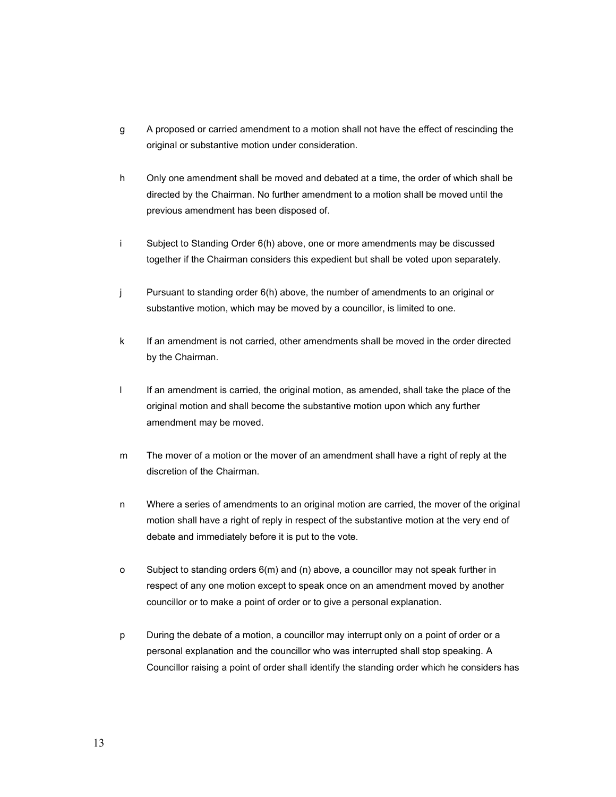- g A proposed or carried amendment to a motion shall not have the effect of rescinding the original or substantive motion under consideration.
- h Only one amendment shall be moved and debated at a time, the order of which shall be directed by the Chairman. No further amendment to a motion shall be moved until the previous amendment has been disposed of.
- i Subject to Standing Order 6(h) above, one or more amendments may be discussed together if the Chairman considers this expedient but shall be voted upon separately.
- j Pursuant to standing order 6(h) above, the number of amendments to an original or substantive motion, which may be moved by a councillor, is limited to one.
- k If an amendment is not carried, other amendments shall be moved in the order directed by the Chairman.
- l If an amendment is carried, the original motion, as amended, shall take the place of the original motion and shall become the substantive motion upon which any further amendment may be moved.
- m The mover of a motion or the mover of an amendment shall have a right of reply at the discretion of the Chairman.
- n Where a series of amendments to an original motion are carried, the mover of the original motion shall have a right of reply in respect of the substantive motion at the very end of debate and immediately before it is put to the vote.
- o Subject to standing orders 6(m) and (n) above, a councillor may not speak further in respect of any one motion except to speak once on an amendment moved by another councillor or to make a point of order or to give a personal explanation.
- p During the debate of a motion, a councillor may interrupt only on a point of order or a personal explanation and the councillor who was interrupted shall stop speaking. A Councillor raising a point of order shall identify the standing order which he considers has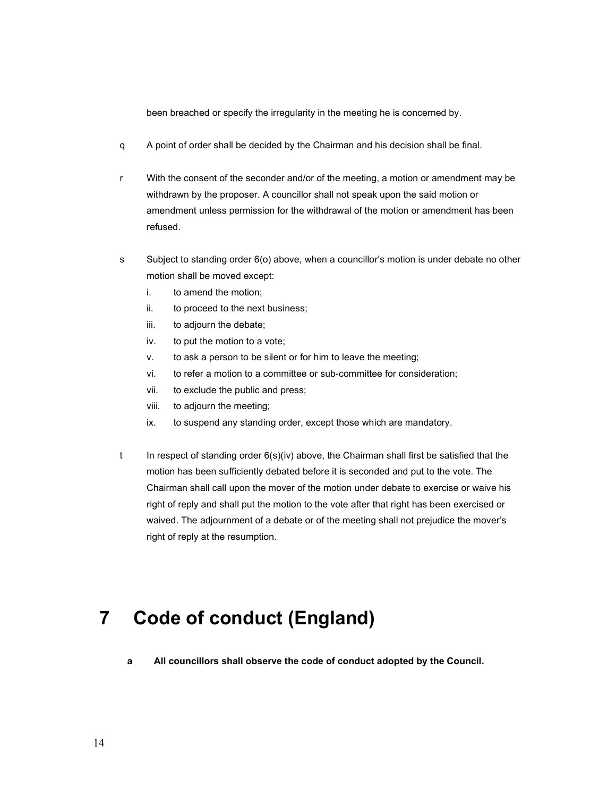been breached or specify the irregularity in the meeting he is concerned by.

- q A point of order shall be decided by the Chairman and his decision shall be final.
- r With the consent of the seconder and/or of the meeting, a motion or amendment may be withdrawn by the proposer. A councillor shall not speak upon the said motion or amendment unless permission for the withdrawal of the motion or amendment has been refused.
- s Subject to standing order 6(o) above, when a councillor's motion is under debate no other motion shall be moved except:
	- i. to amend the motion;
	- ii. to proceed to the next business;
	- iii. to adjourn the debate;
	- iv. to put the motion to a vote;
	- v. to ask a person to be silent or for him to leave the meeting;
	- vi. to refer a motion to a committee or sub-committee for consideration;
	- vii. to exclude the public and press;
	- viii. to adjourn the meeting;
	- ix. to suspend any standing order, except those which are mandatory.
- t In respect of standing order 6(s)(iv) above, the Chairman shall first be satisfied that the motion has been sufficiently debated before it is seconded and put to the vote. The Chairman shall call upon the mover of the motion under debate to exercise or waive his right of reply and shall put the motion to the vote after that right has been exercised or waived. The adjournment of a debate or of the meeting shall not prejudice the mover's right of reply at the resumption.

#### 7 Code of conduct (England)

a All councillors shall observe the code of conduct adopted by the Council.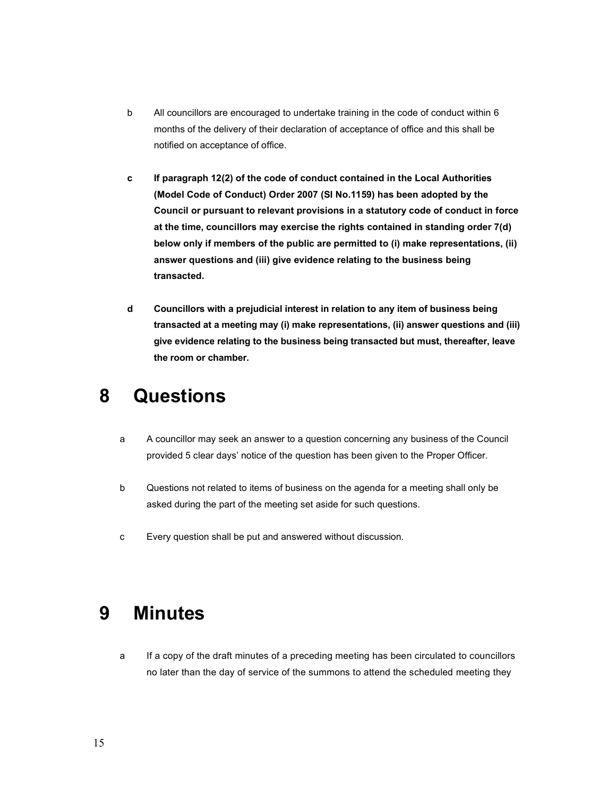- b All councillors are encouraged to undertake training in the code of conduct within 6 months of the delivery of their declaration of acceptance of office and this shall be notified on acceptance of office.
- c If paragraph 12(2) of the code of conduct contained in the Local Authorities (Model Code of Conduct) Order 2007 (SI No.1159) has been adopted by the Council or pursuant to relevant provisions in a statutory code of conduct in force at the time, councillors may exercise the rights contained in standing order 7(d) below only if members of the public are permitted to (i) make representations, (ii) answer questions and (iii) give evidence relating to the business being transacted.
- d Councillors with a prejudicial interest in relation to any item of business being transacted at a meeting may (i) make representations, (ii) answer questions and (iii) give evidence relating to the business being transacted but must, thereafter, leave the room or chamber.

## 8 Questions

- a A councillor may seek an answer to a question concerning any business of the Council provided 5 clear days' notice of the question has been given to the Proper Officer.
- b Questions not related to items of business on the agenda for a meeting shall only be asked during the part of the meeting set aside for such questions.
- c Every question shall be put and answered without discussion.

## 9 Minutes

a If a copy of the draft minutes of a preceding meeting has been circulated to councillors no later than the day of service of the summons to attend the scheduled meeting they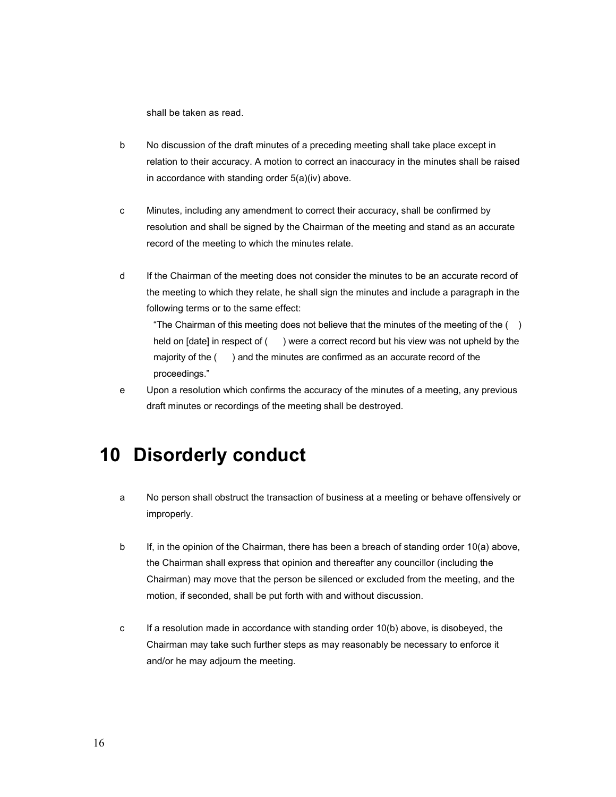shall be taken as read.

- b No discussion of the draft minutes of a preceding meeting shall take place except in relation to their accuracy. A motion to correct an inaccuracy in the minutes shall be raised in accordance with standing order 5(a)(iv) above.
- c Minutes, including any amendment to correct their accuracy, shall be confirmed by resolution and shall be signed by the Chairman of the meeting and stand as an accurate record of the meeting to which the minutes relate.
- d If the Chairman of the meeting does not consider the minutes to be an accurate record of the meeting to which they relate, he shall sign the minutes and include a paragraph in the following terms or to the same effect:

"The Chairman of this meeting does not believe that the minutes of the meeting of the ( ) held on [date] in respect of () were a correct record but his view was not upheld by the majority of the ( ) and the minutes are confirmed as an accurate record of the proceedings."

e Upon a resolution which confirms the accuracy of the minutes of a meeting, any previous draft minutes or recordings of the meeting shall be destroyed.

#### 10 Disorderly conduct

- a No person shall obstruct the transaction of business at a meeting or behave offensively or improperly.
- b If, in the opinion of the Chairman, there has been a breach of standing order 10(a) above, the Chairman shall express that opinion and thereafter any councillor (including the Chairman) may move that the person be silenced or excluded from the meeting, and the motion, if seconded, shall be put forth with and without discussion.
- c If a resolution made in accordance with standing order 10(b) above, is disobeyed, the Chairman may take such further steps as may reasonably be necessary to enforce it and/or he may adjourn the meeting.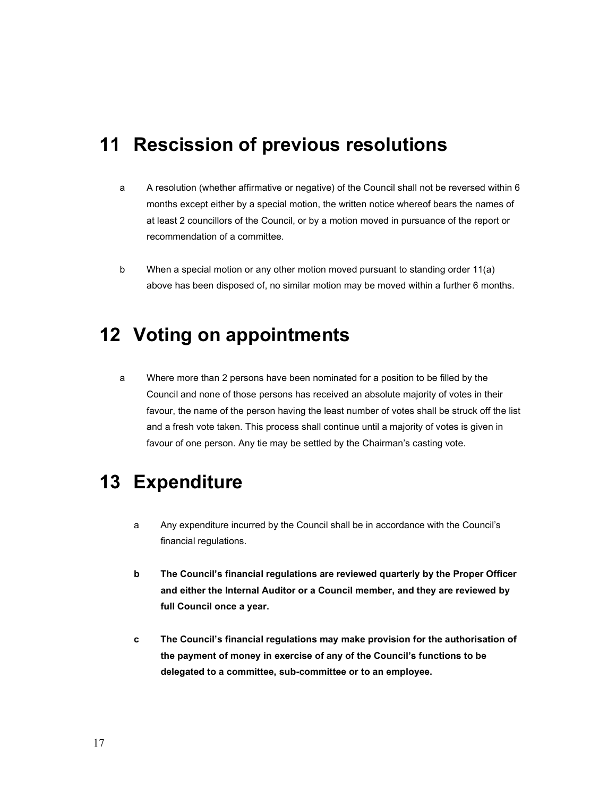## 11 Rescission of previous resolutions

- a A resolution (whether affirmative or negative) of the Council shall not be reversed within 6 months except either by a special motion, the written notice whereof bears the names of at least 2 councillors of the Council, or by a motion moved in pursuance of the report or recommendation of a committee.
- b When a special motion or any other motion moved pursuant to standing order 11(a) above has been disposed of, no similar motion may be moved within a further 6 months.

## 12 Voting on appointments

a Where more than 2 persons have been nominated for a position to be filled by the Council and none of those persons has received an absolute majority of votes in their favour, the name of the person having the least number of votes shall be struck off the list and a fresh vote taken. This process shall continue until a majority of votes is given in favour of one person. Any tie may be settled by the Chairman's casting vote.

## 13 Expenditure

- a Any expenditure incurred by the Council shall be in accordance with the Council's financial regulations.
- b The Council's financial regulations are reviewed quarterly by the Proper Officer and either the Internal Auditor or a Council member, and they are reviewed by full Council once a year.
- c The Council's financial regulations may make provision for the authorisation of the payment of money in exercise of any of the Council's functions to be delegated to a committee, sub-committee or to an employee.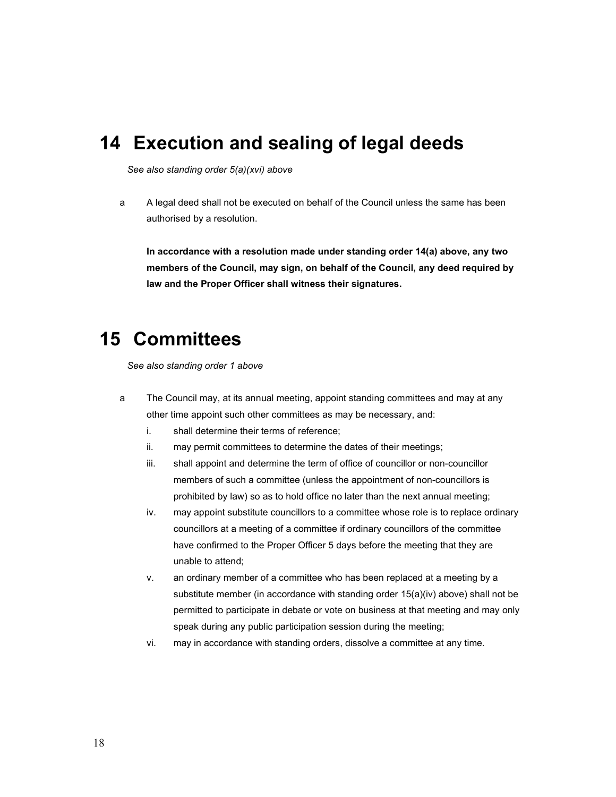#### 14 Execution and sealing of legal deeds

See also standing order 5(a)(xvi) above

a A legal deed shall not be executed on behalf of the Council unless the same has been authorised by a resolution.

In accordance with a resolution made under standing order 14(a) above, any two members of the Council, may sign, on behalf of the Council, any deed required by law and the Proper Officer shall witness their signatures.

#### 15 Committees

See also standing order 1 above

- a The Council may, at its annual meeting, appoint standing committees and may at any other time appoint such other committees as may be necessary, and:
	- i. shall determine their terms of reference;
	- ii. may permit committees to determine the dates of their meetings;
	- iii. shall appoint and determine the term of office of councillor or non-councillor members of such a committee (unless the appointment of non-councillors is prohibited by law) so as to hold office no later than the next annual meeting;
	- iv. may appoint substitute councillors to a committee whose role is to replace ordinary councillors at a meeting of a committee if ordinary councillors of the committee have confirmed to the Proper Officer 5 days before the meeting that they are unable to attend;
	- v. an ordinary member of a committee who has been replaced at a meeting by a substitute member (in accordance with standing order 15(a)(iv) above) shall not be permitted to participate in debate or vote on business at that meeting and may only speak during any public participation session during the meeting;
	- vi. may in accordance with standing orders, dissolve a committee at any time.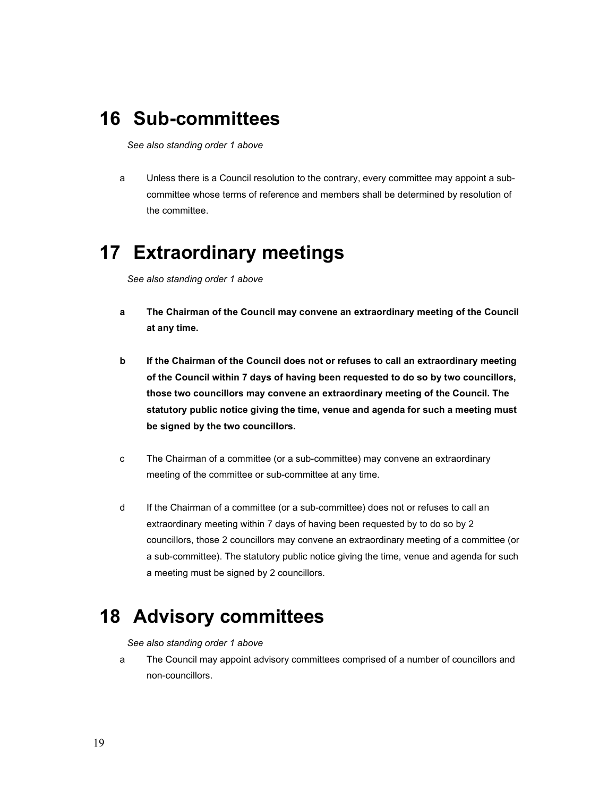## 16 Sub-committees

See also standing order 1 above

a Unless there is a Council resolution to the contrary, every committee may appoint a subcommittee whose terms of reference and members shall be determined by resolution of the committee.

## 17 Extraordinary meetings

See also standing order 1 above

- a The Chairman of the Council may convene an extraordinary meeting of the Council at any time.
- b If the Chairman of the Council does not or refuses to call an extraordinary meeting of the Council within 7 days of having been requested to do so by two councillors, those two councillors may convene an extraordinary meeting of the Council. The statutory public notice giving the time, venue and agenda for such a meeting must be signed by the two councillors.
- c The Chairman of a committee (or a sub-committee) may convene an extraordinary meeting of the committee or sub-committee at any time.
- d If the Chairman of a committee (or a sub-committee) does not or refuses to call an extraordinary meeting within 7 days of having been requested by to do so by 2 councillors, those 2 councillors may convene an extraordinary meeting of a committee (or a sub-committee). The statutory public notice giving the time, venue and agenda for such a meeting must be signed by 2 councillors.

## 18 Advisory committees

See also standing order 1 above

a The Council may appoint advisory committees comprised of a number of councillors and non-councillors.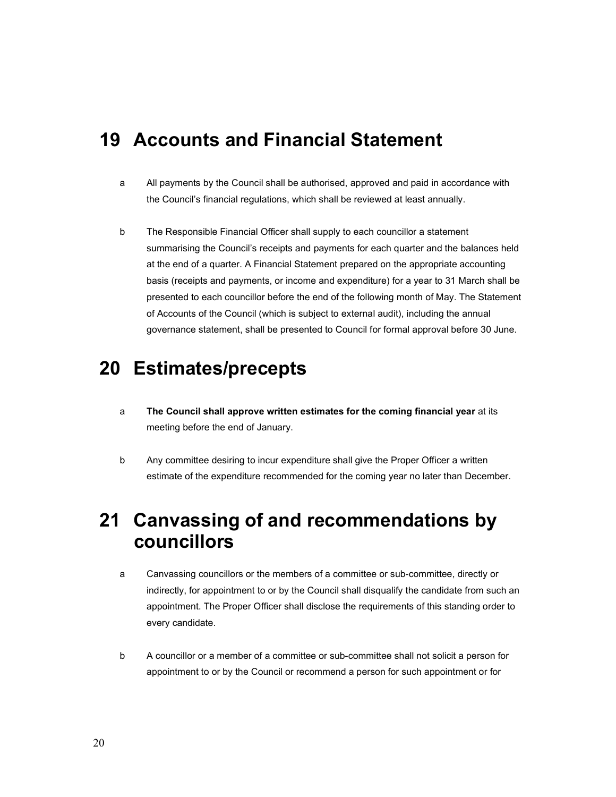#### 19 Accounts and Financial Statement

- a All payments by the Council shall be authorised, approved and paid in accordance with the Council's financial regulations, which shall be reviewed at least annually.
- b The Responsible Financial Officer shall supply to each councillor a statement summarising the Council's receipts and payments for each quarter and the balances held at the end of a quarter. A Financial Statement prepared on the appropriate accounting basis (receipts and payments, or income and expenditure) for a year to 31 March shall be presented to each councillor before the end of the following month of May. The Statement of Accounts of the Council (which is subject to external audit), including the annual governance statement, shall be presented to Council for formal approval before 30 June.

#### 20 Estimates/precepts

- a The Council shall approve written estimates for the coming financial year at its meeting before the end of January.
- b Any committee desiring to incur expenditure shall give the Proper Officer a written estimate of the expenditure recommended for the coming year no later than December.

## 21 Canvassing of and recommendations by councillors

- a Canvassing councillors or the members of a committee or sub-committee, directly or indirectly, for appointment to or by the Council shall disqualify the candidate from such an appointment. The Proper Officer shall disclose the requirements of this standing order to every candidate.
- b A councillor or a member of a committee or sub-committee shall not solicit a person for appointment to or by the Council or recommend a person for such appointment or for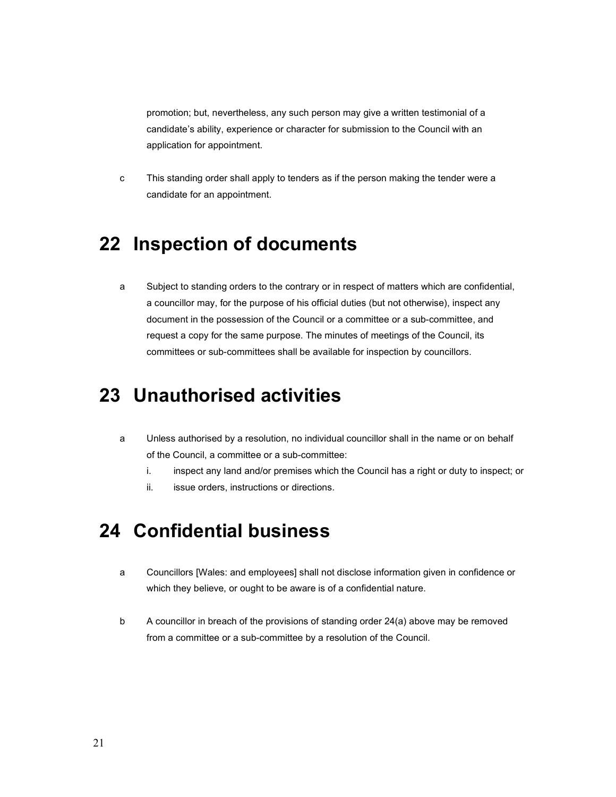promotion; but, nevertheless, any such person may give a written testimonial of a candidate's ability, experience or character for submission to the Council with an application for appointment.

c This standing order shall apply to tenders as if the person making the tender were a candidate for an appointment.

## 22 Inspection of documents

a Subject to standing orders to the contrary or in respect of matters which are confidential, a councillor may, for the purpose of his official duties (but not otherwise), inspect any document in the possession of the Council or a committee or a sub-committee, and request a copy for the same purpose. The minutes of meetings of the Council, its committees or sub-committees shall be available for inspection by councillors.

## 23 Unauthorised activities

- a Unless authorised by a resolution, no individual councillor shall in the name or on behalf of the Council, a committee or a sub-committee:
	- i. inspect any land and/or premises which the Council has a right or duty to inspect; or
	- ii. issue orders, instructions or directions.

## 24 Confidential business

- a Councillors [Wales: and employees] shall not disclose information given in confidence or which they believe, or ought to be aware is of a confidential nature.
- b A councillor in breach of the provisions of standing order 24(a) above may be removed from a committee or a sub-committee by a resolution of the Council.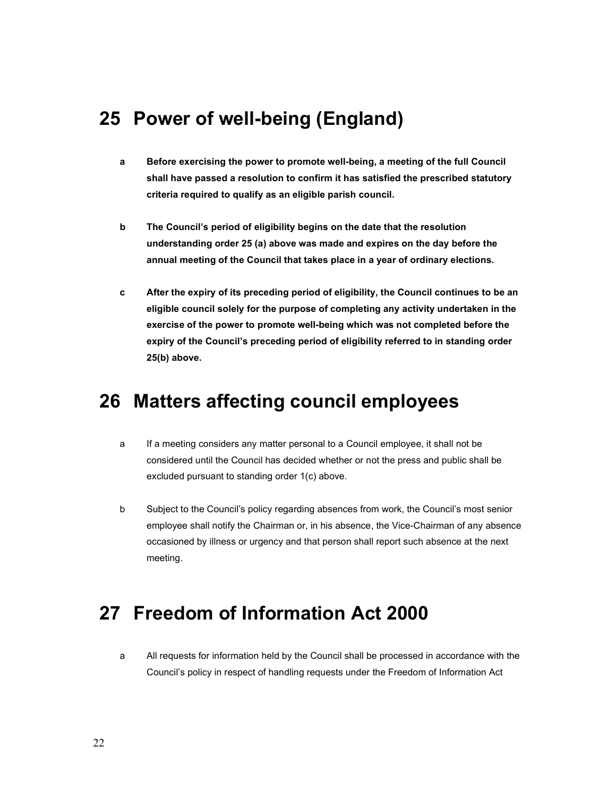#### 25 Power of well-being (England)

- a Before exercising the power to promote well-being, a meeting of the full Council shall have passed a resolution to confirm it has satisfied the prescribed statutory criteria required to qualify as an eligible parish council.
- b The Council's period of eligibility begins on the date that the resolution understanding order 25 (a) above was made and expires on the day before the annual meeting of the Council that takes place in a year of ordinary elections.
- c After the expiry of its preceding period of eligibility, the Council continues to be an eligible council solely for the purpose of completing any activity undertaken in the exercise of the power to promote well-being which was not completed before the expiry of the Council's preceding period of eligibility referred to in standing order 25(b) above.

#### 26 Matters affecting council employees

- a If a meeting considers any matter personal to a Council employee, it shall not be considered until the Council has decided whether or not the press and public shall be excluded pursuant to standing order 1(c) above.
- b Subject to the Council's policy regarding absences from work, the Council's most senior employee shall notify the Chairman or, in his absence, the Vice-Chairman of any absence occasioned by illness or urgency and that person shall report such absence at the next meeting.

## 27 Freedom of Information Act 2000

a All requests for information held by the Council shall be processed in accordance with the Council's policy in respect of handling requests under the Freedom of Information Act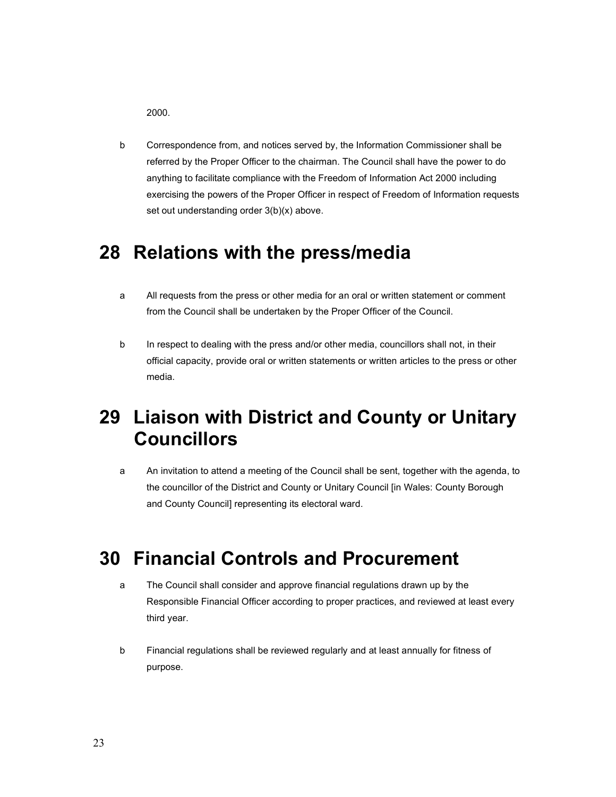2000.

b Correspondence from, and notices served by, the Information Commissioner shall be referred by the Proper Officer to the chairman. The Council shall have the power to do anything to facilitate compliance with the Freedom of Information Act 2000 including exercising the powers of the Proper Officer in respect of Freedom of Information requests set out understanding order 3(b)(x) above.

#### 28 Relations with the press/media

- a All requests from the press or other media for an oral or written statement or comment from the Council shall be undertaken by the Proper Officer of the Council.
- b In respect to dealing with the press and/or other media, councillors shall not, in their official capacity, provide oral or written statements or written articles to the press or other media.

# 29 Liaison with District and County or Unitary Councillors

a An invitation to attend a meeting of the Council shall be sent, together with the agenda, to the councillor of the District and County or Unitary Council [in Wales: County Borough and County Council] representing its electoral ward.

## 30 Financial Controls and Procurement

- a The Council shall consider and approve financial regulations drawn up by the Responsible Financial Officer according to proper practices, and reviewed at least every third year.
- b Financial regulations shall be reviewed regularly and at least annually for fitness of purpose.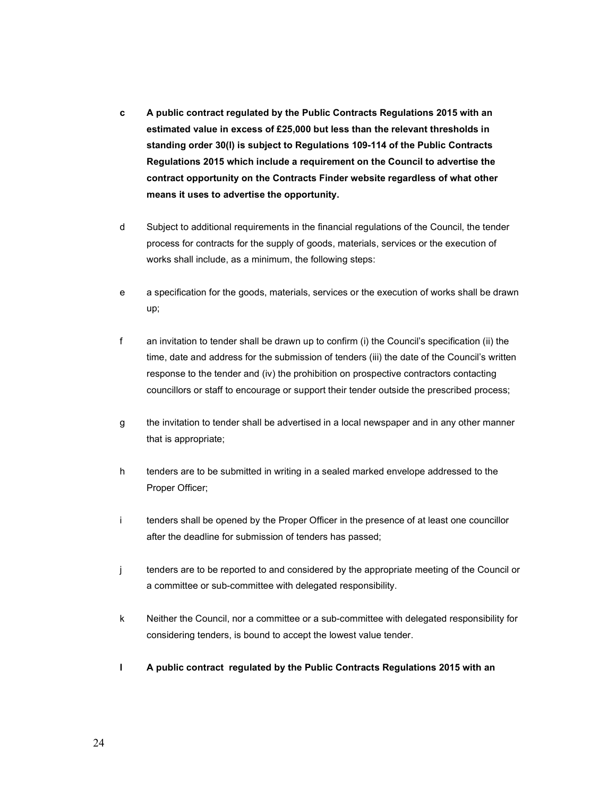- c A public contract regulated by the Public Contracts Regulations 2015 with an estimated value in excess of £25,000 but less than the relevant thresholds in standing order 30(l) is subject to Regulations 109-114 of the Public Contracts Regulations 2015 which include a requirement on the Council to advertise the contract opportunity on the Contracts Finder website regardless of what other means it uses to advertise the opportunity.
- d Subject to additional requirements in the financial regulations of the Council, the tender process for contracts for the supply of goods, materials, services or the execution of works shall include, as a minimum, the following steps:
- e a specification for the goods, materials, services or the execution of works shall be drawn up;
- f an invitation to tender shall be drawn up to confirm (i) the Council's specification (ii) the time, date and address for the submission of tenders (iii) the date of the Council's written response to the tender and (iv) the prohibition on prospective contractors contacting councillors or staff to encourage or support their tender outside the prescribed process;
- g the invitation to tender shall be advertised in a local newspaper and in any other manner that is appropriate;
- h tenders are to be submitted in writing in a sealed marked envelope addressed to the Proper Officer;
- i tenders shall be opened by the Proper Officer in the presence of at least one councillor after the deadline for submission of tenders has passed;
- j tenders are to be reported to and considered by the appropriate meeting of the Council or a committee or sub-committee with delegated responsibility.
- k Neither the Council, nor a committee or a sub-committee with delegated responsibility for considering tenders, is bound to accept the lowest value tender.
- l A public contract regulated by the Public Contracts Regulations 2015 with an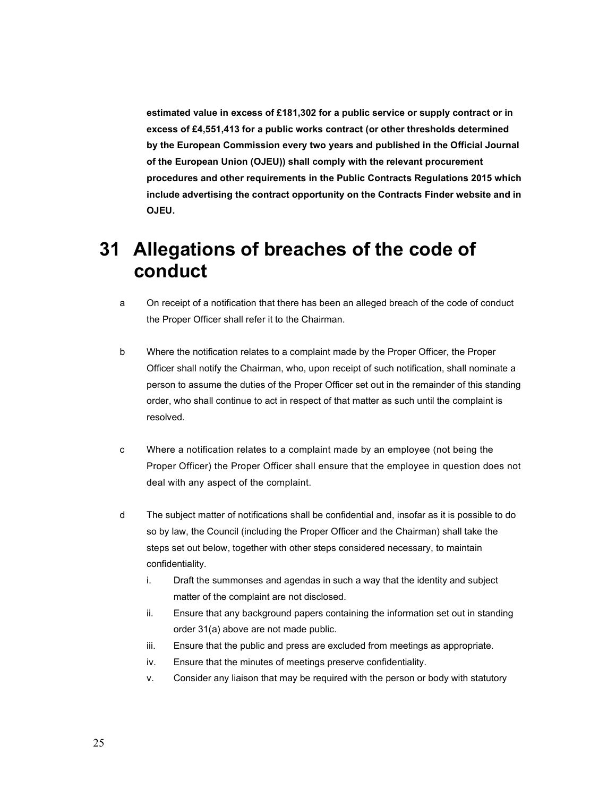estimated value in excess of £181,302 for a public service or supply contract or in excess of £4,551,413 for a public works contract (or other thresholds determined by the European Commission every two years and published in the Official Journal of the European Union (OJEU)) shall comply with the relevant procurement procedures and other requirements in the Public Contracts Regulations 2015 which include advertising the contract opportunity on the Contracts Finder website and in OJEU.

## 31 Allegations of breaches of the code of conduct

- a On receipt of a notification that there has been an alleged breach of the code of conduct the Proper Officer shall refer it to the Chairman.
- b Where the notification relates to a complaint made by the Proper Officer, the Proper Officer shall notify the Chairman, who, upon receipt of such notification, shall nominate a person to assume the duties of the Proper Officer set out in the remainder of this standing order, who shall continue to act in respect of that matter as such until the complaint is resolved.
- c Where a notification relates to a complaint made by an employee (not being the Proper Officer) the Proper Officer shall ensure that the employee in question does not deal with any aspect of the complaint.
- d The subject matter of notifications shall be confidential and, insofar as it is possible to do so by law, the Council (including the Proper Officer and the Chairman) shall take the steps set out below, together with other steps considered necessary, to maintain confidentiality.
	- i. Draft the summonses and agendas in such a way that the identity and subject matter of the complaint are not disclosed.
	- ii. Ensure that any background papers containing the information set out in standing order 31(a) above are not made public.
	- iii. Ensure that the public and press are excluded from meetings as appropriate.
	- iv. Ensure that the minutes of meetings preserve confidentiality.
	- v. Consider any liaison that may be required with the person or body with statutory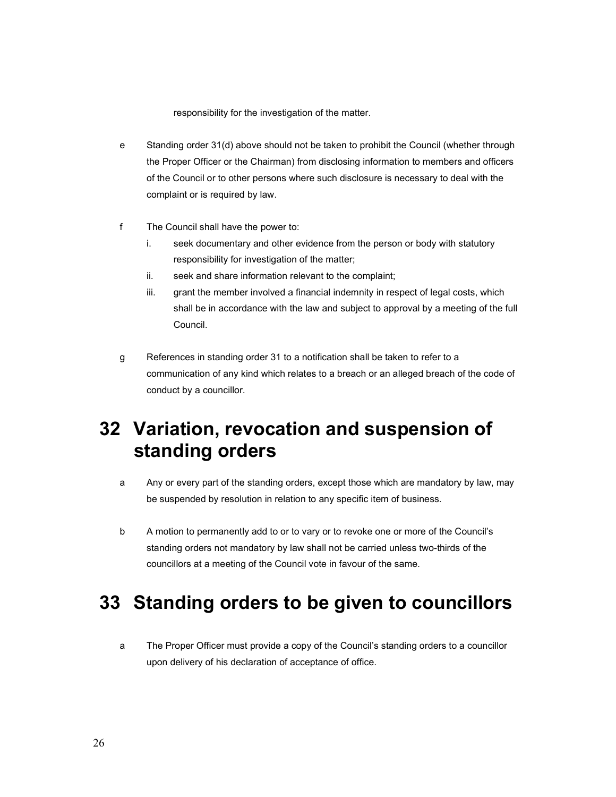responsibility for the investigation of the matter.

- e Standing order 31(d) above should not be taken to prohibit the Council (whether through the Proper Officer or the Chairman) from disclosing information to members and officers of the Council or to other persons where such disclosure is necessary to deal with the complaint or is required by law.
- f The Council shall have the power to:
	- i. seek documentary and other evidence from the person or body with statutory responsibility for investigation of the matter;
	- ii. seek and share information relevant to the complaint;
	- iii. grant the member involved a financial indemnity in respect of legal costs, which shall be in accordance with the law and subject to approval by a meeting of the full Council.
- g References in standing order 31 to a notification shall be taken to refer to a communication of any kind which relates to a breach or an alleged breach of the code of conduct by a councillor.

## 32 Variation, revocation and suspension of standing orders

- a Any or every part of the standing orders, except those which are mandatory by law, may be suspended by resolution in relation to any specific item of business.
- b A motion to permanently add to or to vary or to revoke one or more of the Council's standing orders not mandatory by law shall not be carried unless two-thirds of the councillors at a meeting of the Council vote in favour of the same.

#### 33 Standing orders to be given to councillors

a The Proper Officer must provide a copy of the Council's standing orders to a councillor upon delivery of his declaration of acceptance of office.